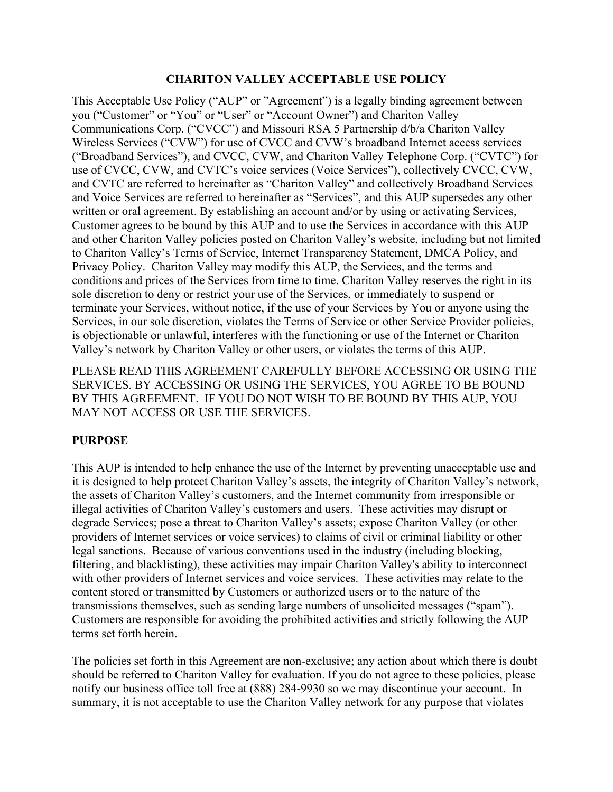#### **CHARITON VALLEY ACCEPTABLE USE POLICY**

This Acceptable Use Policy ("AUP" or "Agreement") is a legally binding agreement between you ("Customer" or "You" or "User" or "Account Owner") and Chariton Valley Communications Corp. ("CVCC") and Missouri RSA 5 Partnership d/b/a Chariton Valley Wireless Services ("CVW") for use of CVCC and CVW's broadband Internet access services ("Broadband Services"), and CVCC, CVW, and Chariton Valley Telephone Corp. ("CVTC") for use of CVCC, CVW, and CVTC's voice services (Voice Services"), collectively CVCC, CVW, and CVTC are referred to hereinafter as "Chariton Valley" and collectively Broadband Services and Voice Services are referred to hereinafter as "Services", and this AUP supersedes any other written or oral agreement. By establishing an account and/or by using or activating Services, Customer agrees to be bound by this AUP and to use the Services in accordance with this AUP and other Chariton Valley policies posted on Chariton Valley's website, including but not limited to Chariton Valley's Terms of Service, Internet Transparency Statement, DMCA Policy, and Privacy Policy. Chariton Valley may modify this AUP, the Services, and the terms and conditions and prices of the Services from time to time. Chariton Valley reserves the right in its sole discretion to deny or restrict your use of the Services, or immediately to suspend or terminate your Services, without notice, if the use of your Services by You or anyone using the Services, in our sole discretion, violates the Terms of Service or other Service Provider policies, is objectionable or unlawful, interferes with the functioning or use of the Internet or Chariton Valley's network by Chariton Valley or other users, or violates the terms of this AUP.

PLEASE READ THIS AGREEMENT CAREFULLY BEFORE ACCESSING OR USING THE SERVICES. BY ACCESSING OR USING THE SERVICES, YOU AGREE TO BE BOUND BY THIS AGREEMENT. IF YOU DO NOT WISH TO BE BOUND BY THIS AUP, YOU MAY NOT ACCESS OR USE THE SERVICES.

## **PURPOSE**

This AUP is intended to help enhance the use of the Internet by preventing unacceptable use and it is designed to help protect Chariton Valley's assets, the integrity of Chariton Valley's network, the assets of Chariton Valley's customers, and the Internet community from irresponsible or illegal activities of Chariton Valley's customers and users. These activities may disrupt or degrade Services; pose a threat to Chariton Valley's assets; expose Chariton Valley (or other providers of Internet services or voice services) to claims of civil or criminal liability or other legal sanctions. Because of various conventions used in the industry (including blocking, filtering, and blacklisting), these activities may impair Chariton Valley's ability to interconnect with other providers of Internet services and voice services. These activities may relate to the content stored or transmitted by Customers or authorized users or to the nature of the transmissions themselves, such as sending large numbers of unsolicited messages ("spam"). Customers are responsible for avoiding the prohibited activities and strictly following the AUP terms set forth herein.

The policies set forth in this Agreement are non-exclusive; any action about which there is doubt should be referred to Chariton Valley for evaluation. If you do not agree to these policies, please notify our business office toll free at (888) 284-9930 so we may discontinue your account. In summary, it is not acceptable to use the Chariton Valley network for any purpose that violates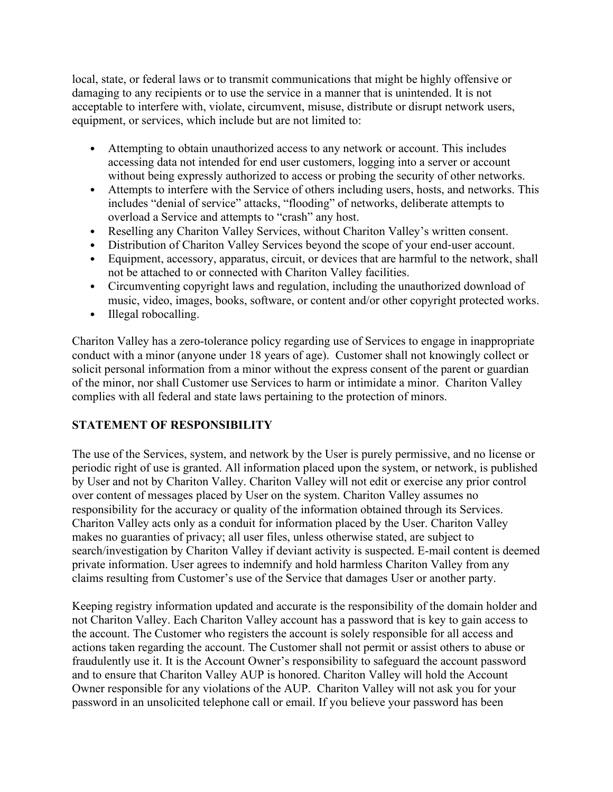local, state, or federal laws or to transmit communications that might be highly offensive or damaging to any recipients or to use the service in a manner that is unintended. It is not acceptable to interfere with, violate, circumvent, misuse, distribute or disrupt network users, equipment, or services, which include but are not limited to:

- Attempting to obtain unauthorized access to any network or account. This includes accessing data not intended for end user customers, logging into a server or account without being expressly authorized to access or probing the security of other networks.
- Attempts to interfere with the Service of others including users, hosts, and networks. This includes "denial of service" attacks, "flooding" of networks, deliberate attempts to overload a Service and attempts to "crash" any host.
- Reselling any Chariton Valley Services, without Chariton Valley's written consent.
- Distribution of Chariton Valley Services beyond the scope of your end-user account.
- Equipment, accessory, apparatus, circuit, or devices that are harmful to the network, shall not be attached to or connected with Chariton Valley facilities.
- Circumventing copyright laws and regulation, including the unauthorized download of music, video, images, books, software, or content and/or other copyright protected works.
- Illegal robocalling.

Chariton Valley has a zero-tolerance policy regarding use of Services to engage in inappropriate conduct with a minor (anyone under 18 years of age). Customer shall not knowingly collect or solicit personal information from a minor without the express consent of the parent or guardian of the minor, nor shall Customer use Services to harm or intimidate a minor. Chariton Valley complies with all federal and state laws pertaining to the protection of minors.

# **STATEMENT OF RESPONSIBILITY**

The use of the Services, system, and network by the User is purely permissive, and no license or periodic right of use is granted. All information placed upon the system, or network, is published by User and not by Chariton Valley. Chariton Valley will not edit or exercise any prior control over content of messages placed by User on the system. Chariton Valley assumes no responsibility for the accuracy or quality of the information obtained through its Services. Chariton Valley acts only as a conduit for information placed by the User. Chariton Valley makes no guaranties of privacy; all user files, unless otherwise stated, are subject to search/investigation by Chariton Valley if deviant activity is suspected. E-mail content is deemed private information. User agrees to indemnify and hold harmless Chariton Valley from any claims resulting from Customer's use of the Service that damages User or another party.

Keeping registry information updated and accurate is the responsibility of the domain holder and not Chariton Valley. Each Chariton Valley account has a password that is key to gain access to the account. The Customer who registers the account is solely responsible for all access and actions taken regarding the account. The Customer shall not permit or assist others to abuse or fraudulently use it. It is the Account Owner's responsibility to safeguard the account password and to ensure that Chariton Valley AUP is honored. Chariton Valley will hold the Account Owner responsible for any violations of the AUP. Chariton Valley will not ask you for your password in an unsolicited telephone call or email. If you believe your password has been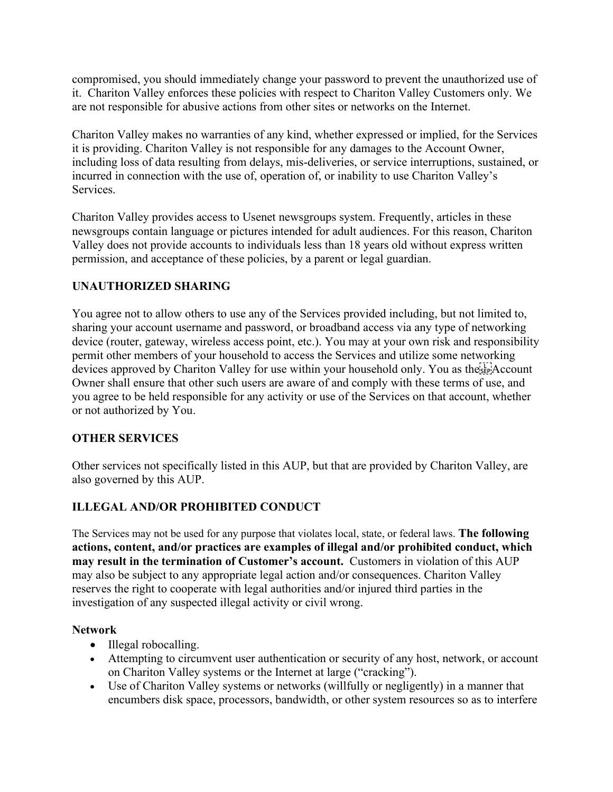compromised, you should immediately change your password to prevent the unauthorized use of it. Chariton Valley enforces these policies with respect to Chariton Valley Customers only. We are not responsible for abusive actions from other sites or networks on the Internet.

Chariton Valley makes no warranties of any kind, whether expressed or implied, for the Services it is providing. Chariton Valley is not responsible for any damages to the Account Owner, including loss of data resulting from delays, mis-deliveries, or service interruptions, sustained, or incurred in connection with the use of, operation of, or inability to use Chariton Valley's Services.

Chariton Valley provides access to Usenet newsgroups system. Frequently, articles in these newsgroups contain language or pictures intended for adult audiences. For this reason, Chariton Valley does not provide accounts to individuals less than 18 years old without express written permission, and acceptance of these policies, by a parent or legal guardian.

## **UNAUTHORIZED SHARING**

You agree not to allow others to use any of the Services provided including, but not limited to, sharing your account username and password, or broadband access via any type of networking device (router, gateway, wireless access point, etc.). You may at your own risk and responsibility permit other members of your household to access the Services and utilize some networking devices approved by Chariton Valley for use within your household only. You as the  $\overline{A}$ ? Account Owner shall ensure that other such users are aware of and comply with these terms of use, and you agree to be held responsible for any activity or use of the Services on that account, whether or not authorized by You.

## **OTHER SERVICES**

Other services not specifically listed in this AUP, but that are provided by Chariton Valley, are also governed by this AUP.

## **ILLEGAL AND/OR PROHIBITED CONDUCT**

The Services may not be used for any purpose that violates local, state, or federal laws. **The following actions, content, and/or practices are examples of illegal and/or prohibited conduct, which may result in the termination of Customer's account.** Customers in violation of this AUP may also be subject to any appropriate legal action and/or consequences. Chariton Valley reserves the right to cooperate with legal authorities and/or injured third parties in the investigation of any suspected illegal activity or civil wrong.

#### **Network**

- Illegal robocalling.
- Attempting to circumvent user authentication or security of any host, network, or account on Chariton Valley systems or the Internet at large ("cracking").
- Use of Chariton Valley systems or networks (willfully or negligently) in a manner that encumbers disk space, processors, bandwidth, or other system resources so as to interfere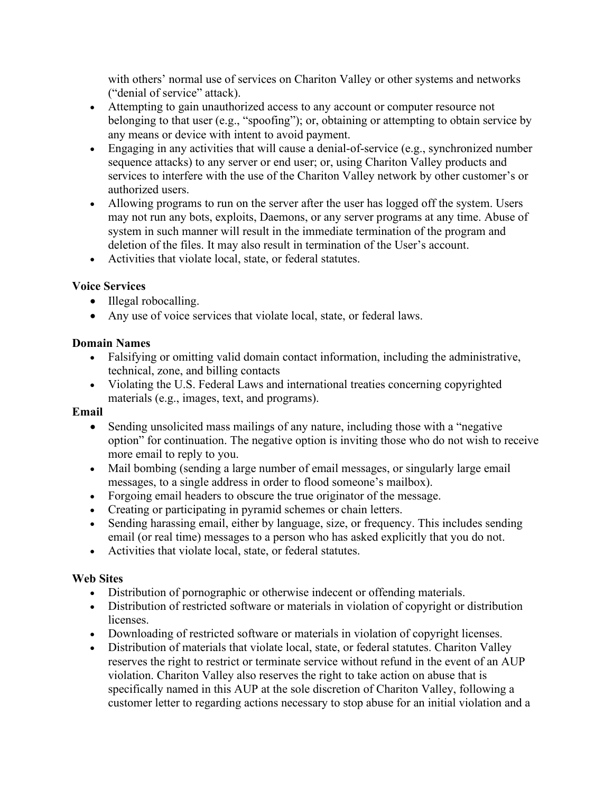with others' normal use of services on Chariton Valley or other systems and networks ("denial of service" attack).

- Attempting to gain unauthorized access to any account or computer resource not belonging to that user (e.g., "spoofing"); or, obtaining or attempting to obtain service by any means or device with intent to avoid payment.
- Engaging in any activities that will cause a denial-of-service (e.g., synchronized number sequence attacks) to any server or end user; or, using Chariton Valley products and services to interfere with the use of the Chariton Valley network by other customer's or authorized users.
- Allowing programs to run on the server after the user has logged off the system. Users may not run any bots, exploits, Daemons, or any server programs at any time. Abuse of system in such manner will result in the immediate termination of the program and deletion of the files. It may also result in termination of the User's account.
- Activities that violate local, state, or federal statutes.

## **Voice Services**

- Illegal robocalling.
- Any use of voice services that violate local, state, or federal laws.

#### **Domain Names**

- Falsifying or omitting valid domain contact information, including the administrative, technical, zone, and billing contacts
- Violating the U.S. Federal Laws and international treaties concerning copyrighted materials (e.g., images, text, and programs).

#### **Email**

- Sending unsolicited mass mailings of any nature, including those with a "negative" option" for continuation. The negative option is inviting those who do not wish to receive more email to reply to you.
- Mail bombing (sending a large number of email messages, or singularly large email messages, to a single address in order to flood someone's mailbox).
- Forgoing email headers to obscure the true originator of the message.
- Creating or participating in pyramid schemes or chain letters.
- Sending harassing email, either by language, size, or frequency. This includes sending email (or real time) messages to a person who has asked explicitly that you do not.
- Activities that violate local, state, or federal statutes.

#### **Web Sites**

- Distribution of pornographic or otherwise indecent or offending materials.
- Distribution of restricted software or materials in violation of copyright or distribution licenses.
- Downloading of restricted software or materials in violation of copyright licenses.
- Distribution of materials that violate local, state, or federal statutes. Chariton Valley reserves the right to restrict or terminate service without refund in the event of an AUP violation. Chariton Valley also reserves the right to take action on abuse that is specifically named in this AUP at the sole discretion of Chariton Valley, following a customer letter to regarding actions necessary to stop abuse for an initial violation and a